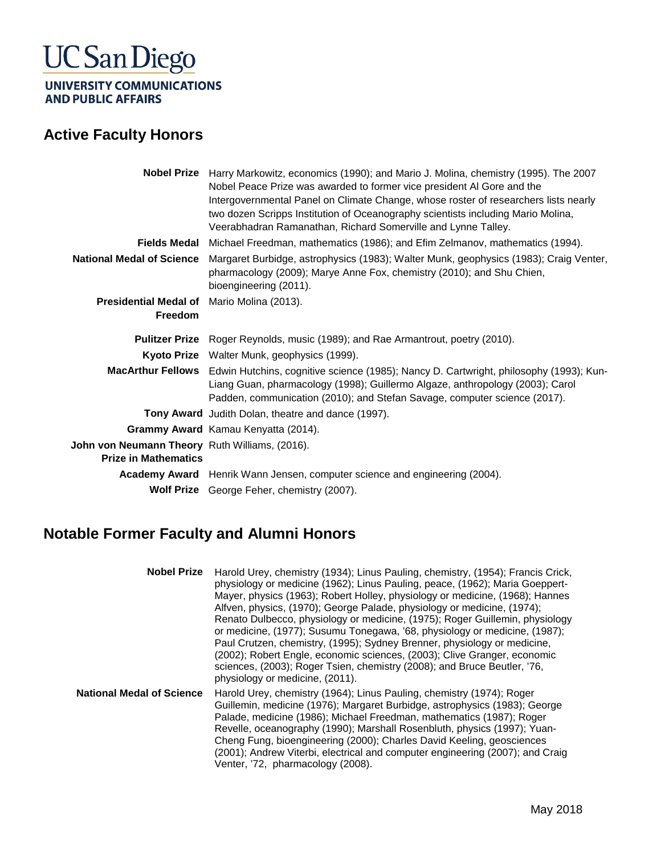## **UC San Diego**

UNIVERSITY COMMUNICATIONS **AND PUBLIC AFFAIRS** 

#### **Active Faculty Honors**

|                                                                               | Nobel Prize Harry Markowitz, economics (1990); and Mario J. Molina, chemistry (1995). The 2007<br>Nobel Peace Prize was awarded to former vice president AI Gore and the                                                                                               |
|-------------------------------------------------------------------------------|------------------------------------------------------------------------------------------------------------------------------------------------------------------------------------------------------------------------------------------------------------------------|
|                                                                               | Intergovernmental Panel on Climate Change, whose roster of researchers lists nearly<br>two dozen Scripps Institution of Oceanography scientists including Mario Molina,<br>Veerabhadran Ramanathan, Richard Somerville and Lynne Talley.                               |
| Fields Medal                                                                  | Michael Freedman, mathematics (1986); and Efim Zelmanov, mathematics (1994).                                                                                                                                                                                           |
| <b>National Medal of Science</b>                                              | Margaret Burbidge, astrophysics (1983); Walter Munk, geophysics (1983); Craig Venter,<br>pharmacology (2009); Marye Anne Fox, chemistry (2010); and Shu Chien,<br>bioengineering (2011).                                                                               |
| <b>Presidential Medal of</b> Mario Molina (2013).                             |                                                                                                                                                                                                                                                                        |
| Freedom                                                                       |                                                                                                                                                                                                                                                                        |
|                                                                               |                                                                                                                                                                                                                                                                        |
|                                                                               | Pulitzer Prize Roger Reynolds, music (1989); and Rae Armantrout, poetry (2010).                                                                                                                                                                                        |
|                                                                               | Kyoto Prize Walter Munk, geophysics (1999).                                                                                                                                                                                                                            |
|                                                                               | MacArthur Fellows Edwin Hutchins, cognitive science (1985); Nancy D. Cartwright, philosophy (1993); Kun-<br>Liang Guan, pharmacology (1998); Guillermo Algaze, anthropology (2003); Carol<br>Padden, communication (2010); and Stefan Savage, computer science (2017). |
|                                                                               | Tony Award Judith Dolan, theatre and dance (1997).                                                                                                                                                                                                                     |
|                                                                               | Grammy Award Kamau Kenyatta (2014).                                                                                                                                                                                                                                    |
| John von Neumann Theory Ruth Williams, (2016).<br><b>Prize in Mathematics</b> |                                                                                                                                                                                                                                                                        |
|                                                                               | Academy Award Henrik Wann Jensen, computer science and engineering (2004).                                                                                                                                                                                             |

### **Notable Former Faculty and Alumni Honors**

| <b>Nobel Prize</b>        | Harold Urey, chemistry (1934); Linus Pauling, chemistry, (1954); Francis Crick,<br>physiology or medicine (1962); Linus Pauling, peace, (1962); Maria Goeppert-<br>Mayer, physics (1963); Robert Holley, physiology or medicine, (1968); Hannes<br>Alfven, physics, (1970); George Palade, physiology or medicine, (1974);<br>Renato Dulbecco, physiology or medicine, (1975); Roger Guillemin, physiology<br>or medicine, (1977); Susumu Tonegawa, '68, physiology or medicine, (1987);<br>Paul Crutzen, chemistry, (1995); Sydney Brenner, physiology or medicine,<br>(2002); Robert Engle, economic sciences, (2003); Clive Granger, economic<br>sciences, (2003); Roger Tsien, chemistry (2008); and Bruce Beutler, '76,<br>physiology or medicine, (2011). |
|---------------------------|-----------------------------------------------------------------------------------------------------------------------------------------------------------------------------------------------------------------------------------------------------------------------------------------------------------------------------------------------------------------------------------------------------------------------------------------------------------------------------------------------------------------------------------------------------------------------------------------------------------------------------------------------------------------------------------------------------------------------------------------------------------------|
| National Medal of Science | Harold Urey, chemistry (1964); Linus Pauling, chemistry (1974); Roger<br>Guillemin, medicine (1976); Margaret Burbidge, astrophysics (1983); George<br>Palade, medicine (1986); Michael Freedman, mathematics (1987); Roger<br>Revelle, oceanography (1990); Marshall Rosenbluth, physics (1997); Yuan-<br>Cheng Fung, bioengineering (2000); Charles David Keeling, geosciences<br>(2001); Andrew Viterbi, electrical and computer engineering (2007); and Craig<br>Venter, '72, pharmacology (2008).                                                                                                                                                                                                                                                          |